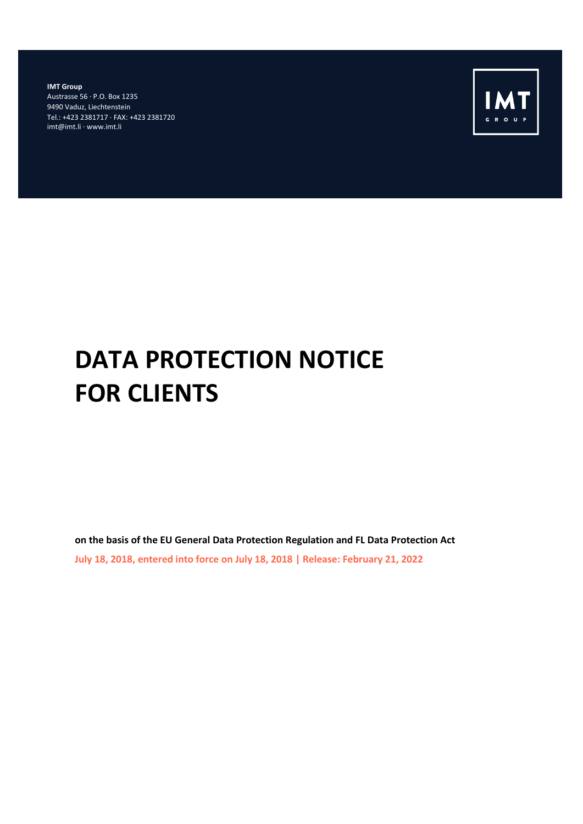**IMT Group** Austrasse 56 · P.O. Box 1235 9490 Vaduz, Liechtenstein Tel.: +423 2381717 · FAX: +423 2381720 imt@imt.li · www.imt.li



# **DATA PROTECTION NOTICE FOR CLIENTS**

**on the basis of the EU General Data Protection Regulation and FL Data Protection Act July 18, 2018, entered into force on July 18, 2018 | Release: February 21, 2022**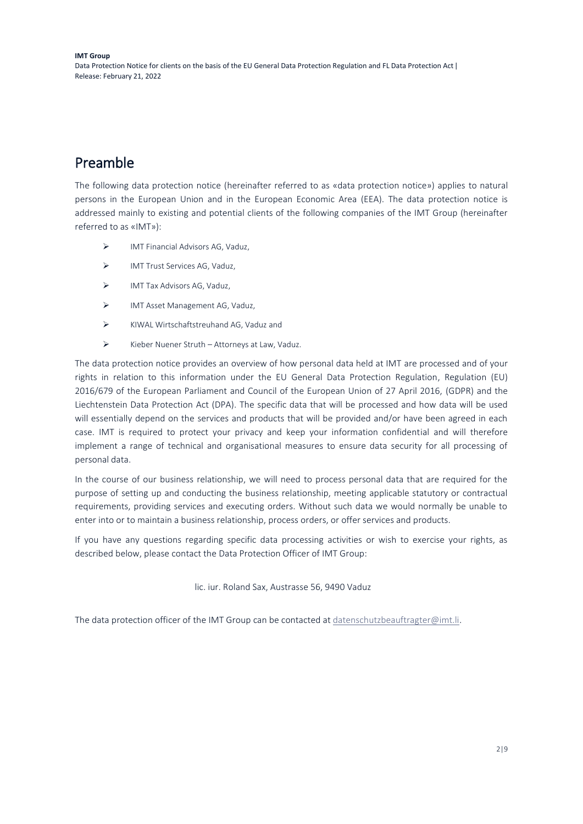# Preamble

The following data protection notice (hereinafter referred to as «data protection notice») applies to natural persons in the European Union and in the European Economic Area (EEA). The data protection notice is addressed mainly to existing and potential clients of the following companies of the IMT Group (hereinafter referred to as «IMT»):

- ➢ IMT Financial Advisors AG, Vaduz,
- ➢ IMT Trust Services AG, Vaduz,
- ➢ IMT Tax Advisors AG, Vaduz,
- ➢ IMT Asset Management AG, Vaduz,
- ➢ KIWAL Wirtschaftstreuhand AG, Vaduz and
- ➢ Kieber Nuener Struth Attorneys at Law, Vaduz.

The data protection notice provides an overview of how personal data held at IMT are processed and of your rights in relation to this information under the EU General Data Protection Regulation, Regulation (EU) 2016/679 of the European Parliament and Council of the European Union of 27 April 2016, (GDPR) and the Liechtenstein Data Protection Act (DPA). The specific data that will be processed and how data will be used will essentially depend on the services and products that will be provided and/or have been agreed in each case. IMT is required to protect your privacy and keep your information confidential and will therefore implement a range of technical and organisational measures to ensure data security for all processing of personal data.

In the course of our business relationship, we will need to process personal data that are required for the purpose of setting up and conducting the business relationship, meeting applicable statutory or contractual requirements, providing services and executing orders. Without such data we would normally be unable to enter into or to maintain a business relationship, process orders, or offer services and products.

If you have any questions regarding specific data processing activities or wish to exercise your rights, as described below, please contact the Data Protection Officer of IMT Group:

lic. iur. Roland Sax, Austrasse 56, 9490 Vaduz

The data protection officer of the IMT Group can be contacted at [datenschutzbeauftragter@imt.li.](mailto:datenschutzbeauftragter@imt.li)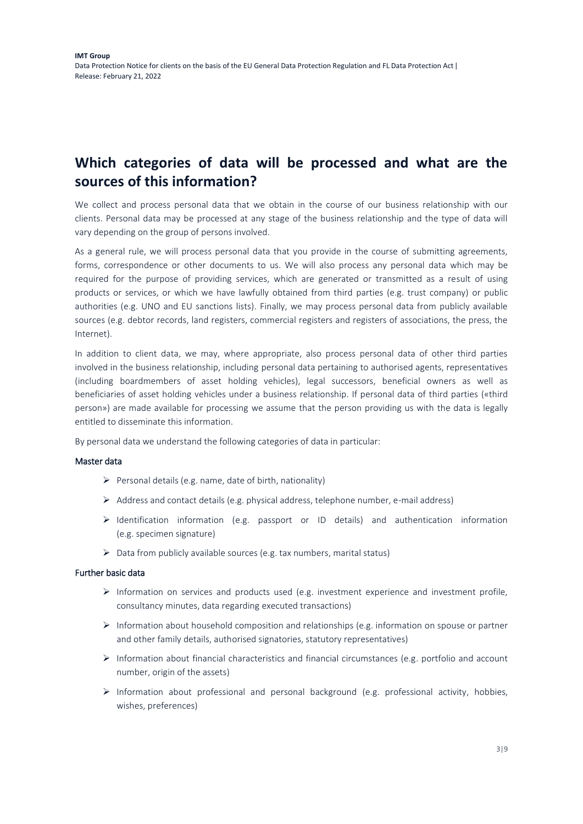# **Which categories of data will be processed and what are the sources of this information?**

We collect and process personal data that we obtain in the course of our business relationship with our clients. Personal data may be processed at any stage of the business relationship and the type of data will vary depending on the group of persons involved.

As a general rule, we will process personal data that you provide in the course of submitting agreements, forms, correspondence or other documents to us. We will also process any personal data which may be required for the purpose of providing services, which are generated or transmitted as a result of using products or services, or which we have lawfully obtained from third parties (e.g. trust company) or public authorities (e.g. UNO and EU sanctions lists). Finally, we may process personal data from publicly available sources (e.g. debtor records, land registers, commercial registers and registers of associations, the press, the Internet).

In addition to client data, we may, where appropriate, also process personal data of other third parties involved in the business relationship, including personal data pertaining to authorised agents, representatives (including boardmembers of asset holding vehicles), legal successors, beneficial owners as well as beneficiaries of asset holding vehicles under a business relationship. If personal data of third parties («third person») are made available for processing we assume that the person providing us with the data is legally entitled to disseminate this information.

By personal data we understand the following categories of data in particular:

#### Master data

- $\triangleright$  Personal details (e.g. name, date of birth, nationality)
- $\triangleright$  Address and contact details (e.g. physical address, telephone number, e-mail address)
- ➢ Identification information (e.g. passport or ID details) and authentication information (e.g. specimen signature)
- ➢ Data from publicly available sources (e.g. tax numbers, marital status)

#### Further basic data

- $\triangleright$  Information on services and products used (e.g. investment experience and investment profile, consultancy minutes, data regarding executed transactions)
- ➢ Information about household composition and relationships (e.g. information on spouse or partner and other family details, authorised signatories, statutory representatives)
- ➢ Information about financial characteristics and financial circumstances (e.g. portfolio and account number, origin of the assets)
- $\triangleright$  Information about professional and personal background (e.g. professional activity, hobbies, wishes, preferences)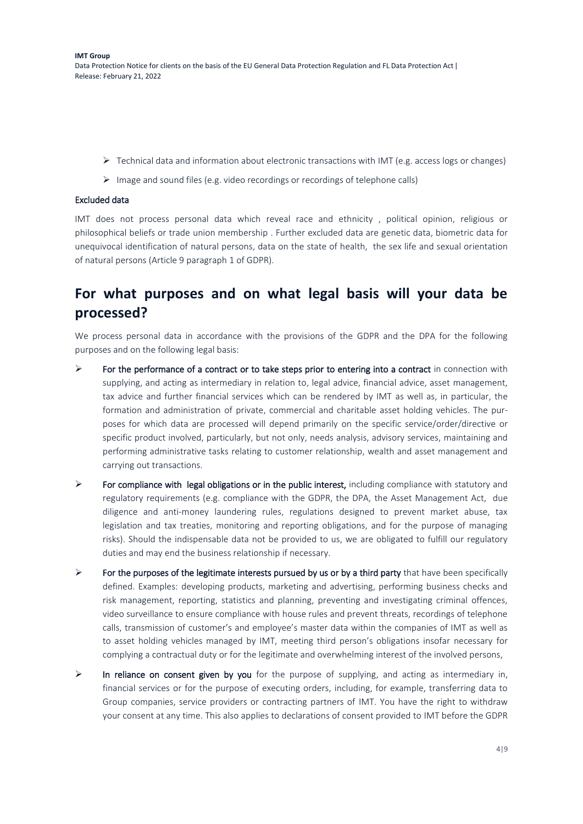- $\triangleright$  Technical data and information about electronic transactions with IMT (e.g. access logs or changes)
- ➢ Image and sound files (e.g. video recordings or recordings of telephone calls)

#### Excluded data

IMT does not process personal data which reveal race and ethnicity , political opinion, religious or philosophical beliefs or trade union membership . Further excluded data are genetic data, biometric data for unequivocal identification of natural persons, data on the state of health, the sex life and sexual orientation of natural persons (Article 9 paragraph 1 of GDPR).

## **For what purposes and on what legal basis will your data be processed?**

We process personal data in accordance with the provisions of the GDPR and the DPA for the following purposes and on the following legal basis:

- $\triangleright$  For the performance of a contract or to take steps prior to entering into a contract in connection with supplying, and acting as intermediary in relation to, legal advice, financial advice, asset management, tax advice and further financial services which can be rendered by IMT as well as, in particular, the formation and administration of private, commercial and charitable asset holding vehicles. The purposes for which data are processed will depend primarily on the specific service/order/directive or specific product involved, particularly, but not only, needs analysis, advisory services, maintaining and performing administrative tasks relating to customer relationship, wealth and asset management and carrying out transactions.
- $\triangleright$  For compliance with legal obligations or in the public interest, including compliance with statutory and regulatory requirements (e.g. compliance with the GDPR, the DPA, the Asset Management Act, due diligence and anti-money laundering rules, regulations designed to prevent market abuse, tax legislation and tax treaties, monitoring and reporting obligations, and for the purpose of managing risks). Should the indispensable data not be provided to us, we are obligated to fulfill our regulatory duties and may end the business relationship if necessary.
- $\triangleright$  For the purposes of the legitimate interests pursued by us or by a third party that have been specifically defined. Examples: developing products, marketing and advertising, performing business checks and risk management, reporting, statistics and planning, preventing and investigating criminal offences, video surveillance to ensure compliance with house rules and prevent threats, recordings of telephone calls, transmission of customer's and employee's master data within the companies of IMT as well as to asset holding vehicles managed by IMT, meeting third person's obligations insofar necessary for complying a contractual duty or for the legitimate and overwhelming interest of the involved persons,
- $\triangleright$  In reliance on consent given by you for the purpose of supplying, and acting as intermediary in, financial services or for the purpose of executing orders, including, for example, transferring data to Group companies, service providers or contracting partners of IMT. You have the right to withdraw your consent at any time. This also applies to declarations of consent provided to IMT before the GDPR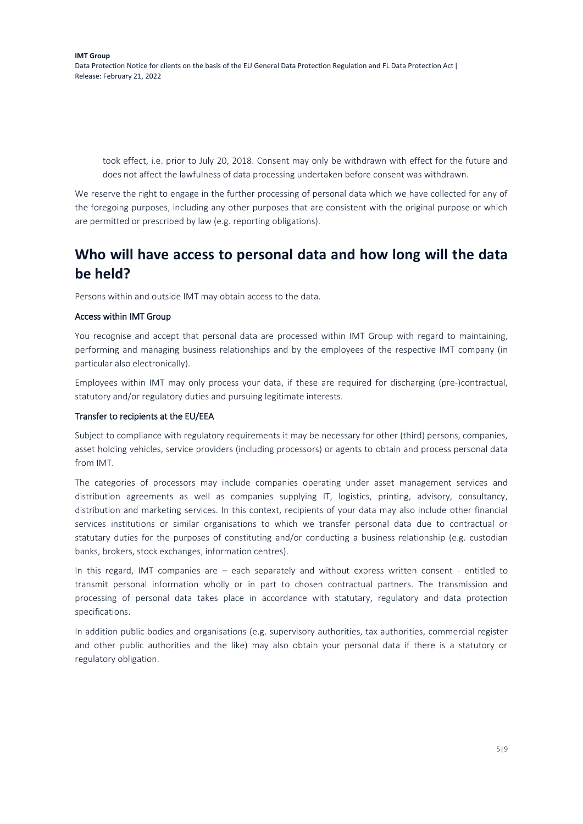took effect, i.e. prior to July 20, 2018. Consent may only be withdrawn with effect for the future and does not affect the lawfulness of data processing undertaken before consent was withdrawn.

We reserve the right to engage in the further processing of personal data which we have collected for any of the foregoing purposes, including any other purposes that are consistent with the original purpose or which are permitted or prescribed by law (e.g. reporting obligations).

# **Who will have access to personal data and how long will the data be held?**

Persons within and outside IMT may obtain access to the data.

#### Access within IMT Group

You recognise and accept that personal data are processed within IMT Group with regard to maintaining, performing and managing business relationships and by the employees of the respective IMT company (in particular also electronically).

Employees within IMT may only process your data, if these are required for discharging (pre-)contractual, statutory and/or regulatory duties and pursuing legitimate interests.

#### Transfer to recipients at the EU/EEA

Subject to compliance with regulatory requirements it may be necessary for other (third) persons, companies, asset holding vehicles, service providers (including processors) or agents to obtain and process personal data from IMT.

The categories of processors may include companies operating under asset management services and distribution agreements as well as companies supplying IT, logistics, printing, advisory, consultancy, distribution and marketing services. In this context, recipients of your data may also include other financial services institutions or similar organisations to which we transfer personal data due to contractual or statutary duties for the purposes of constituting and/or conducting a business relationship (e.g. custodian banks, brokers, stock exchanges, information centres).

In this regard, IMT companies are – each separately and without express written consent - entitled to transmit personal information wholly or in part to chosen contractual partners. The transmission and processing of personal data takes place in accordance with statutary, regulatory and data protection specifications.

In addition public bodies and organisations (e.g. supervisory authorities, tax authorities, commercial register and other public authorities and the like) may also obtain your personal data if there is a statutory or regulatory obligation.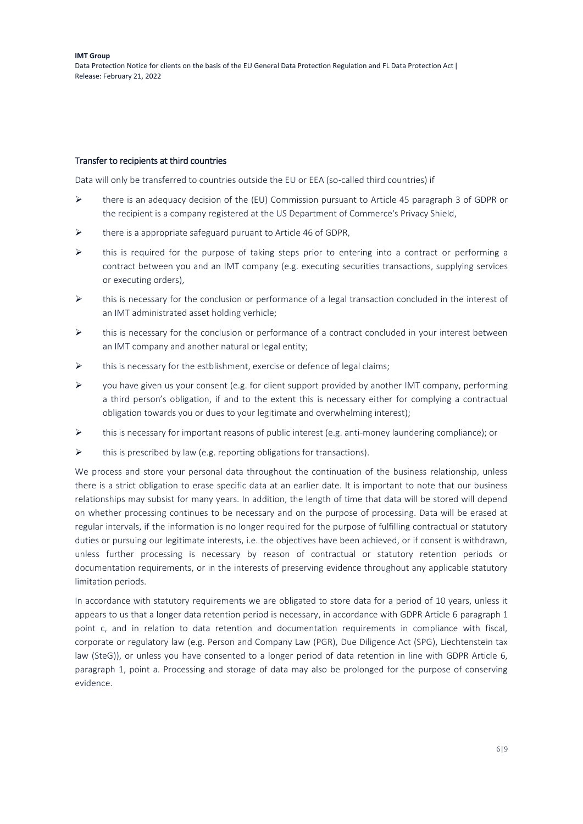#### Transfer to recipients at third countries

Data will only be transferred to countries outside the EU or EEA (so-called third countries) if

- $\triangleright$  there is an adequacy decision of the (EU) Commission pursuant to Article 45 paragraph 3 of GDPR or the recipient is a company registered at the US Department of Commerce's Privacy Shield,
- ➢ there is a appropriate safeguard puruant to Article 46 of GDPR,
- ➢ this is required for the purpose of taking steps prior to entering into a contract or performing a contract between you and an IMT company (e.g. executing securities transactions, supplying services or executing orders),
- $\triangleright$  this is necessary for the conclusion or performance of a legal transaction concluded in the interest of an IMT administrated asset holding verhicle;
- $\triangleright$  this is necessary for the conclusion or performance of a contract concluded in your interest between an IMT company and another natural or legal entity;
- ➢ this is necessary for the estblishment, exercise or defence of legal claims;
- ➢ you have given us your consent (e.g. for client support provided by another IMT company, performing a third person's obligation, if and to the extent this is necessary either for complying a contractual obligation towards you or dues to your legitimate and overwhelming interest);
- ➢ this is necessary for important reasons of public interest (e.g. anti-money laundering compliance); or
- $\triangleright$  this is prescribed by law (e.g. reporting obligations for transactions).

We process and store your personal data throughout the continuation of the business relationship, unless there is a strict obligation to erase specific data at an earlier date. It is important to note that our business relationships may subsist for many years. In addition, the length of time that data will be stored will depend on whether processing continues to be necessary and on the purpose of processing. Data will be erased at regular intervals, if the information is no longer required for the purpose of fulfilling contractual or statutory duties or pursuing our legitimate interests, i.e. the objectives have been achieved, or if consent is withdrawn, unless further processing is necessary by reason of contractual or statutory retention periods or documentation requirements, or in the interests of preserving evidence throughout any applicable statutory limitation periods.

In accordance with statutory requirements we are obligated to store data for a period of 10 years, unless it appears to us that a longer data retention period is necessary, in accordance with GDPR Article 6 paragraph 1 point c, and in relation to data retention and documentation requirements in compliance with fiscal, corporate or regulatory law (e.g. Person and Company Law (PGR), Due Diligence Act (SPG), Liechtenstein tax law (SteG)), or unless you have consented to a longer period of data retention in line with GDPR Article 6, paragraph 1, point a. Processing and storage of data may also be prolonged for the purpose of conserving evidence.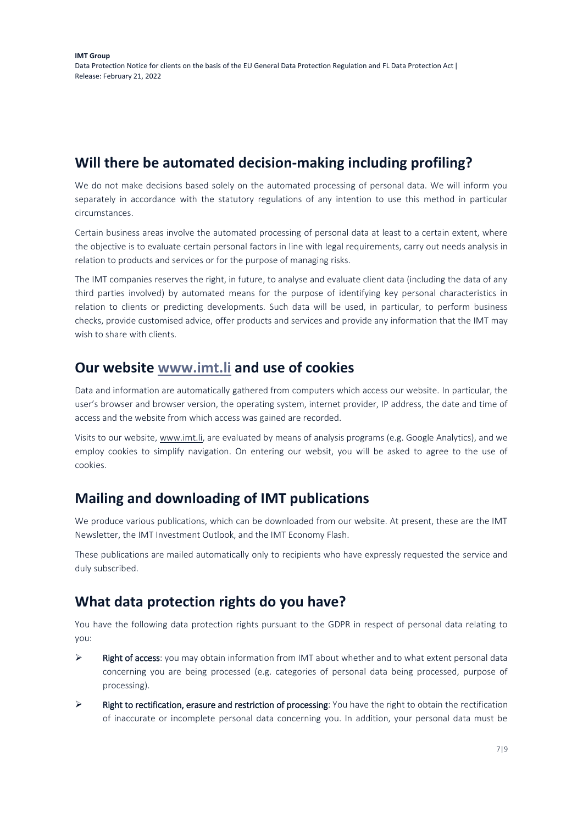### **Will there be automated decision-making including profiling?**

We do not make decisions based solely on the automated processing of personal data. We will inform you separately in accordance with the statutory regulations of any intention to use this method in particular circumstances.

Certain business areas involve the automated processing of personal data at least to a certain extent, where the objective is to evaluate certain personal factors in line with legal requirements, carry out needs analysis in relation to products and services or for the purpose of managing risks.

The IMT companies reserves the right, in future, to analyse and evaluate client data (including the data of any third parties involved) by automated means for the purpose of identifying key personal characteristics in relation to clients or predicting developments. Such data will be used, in particular, to perform business checks, provide customised advice, offer products and services and provide any information that the IMT may wish to share with clients.

### **Our website [www.imt.li](http://www.imt.li/) and use of cookies**

Data and information are automatically gathered from computers which access our website. In particular, the user's browser and browser version, the operating system, internet provider, IP address, the date and time of access and the website from which access was gained are recorded.

Visits to our website, [www.imt.li,](http://www.imt.li/) are evaluated by means of analysis programs (e.g. Google Analytics), and we employ cookies to simplify navigation. On entering our websit, you will be asked to agree to the use of cookies.

### **Mailing and downloading of IMT publications**

We produce various publications, which can be downloaded from our website. At present, these are the IMT Newsletter, the IMT Investment Outlook, and the IMT Economy Flash.

These publications are mailed automatically only to recipients who have expressly requested the service and duly subscribed.

### **What data protection rights do you have?**

You have the following data protection rights pursuant to the GDPR in respect of personal data relating to you:

- ➢ Right of access: you may obtain information from IMT about whether and to what extent personal data concerning you are being processed (e.g. categories of personal data being processed, purpose of processing).
- ➢ Right to rectification, erasure and restriction of processing: You have the right to obtain the rectification of inaccurate or incomplete personal data concerning you. In addition, your personal data must be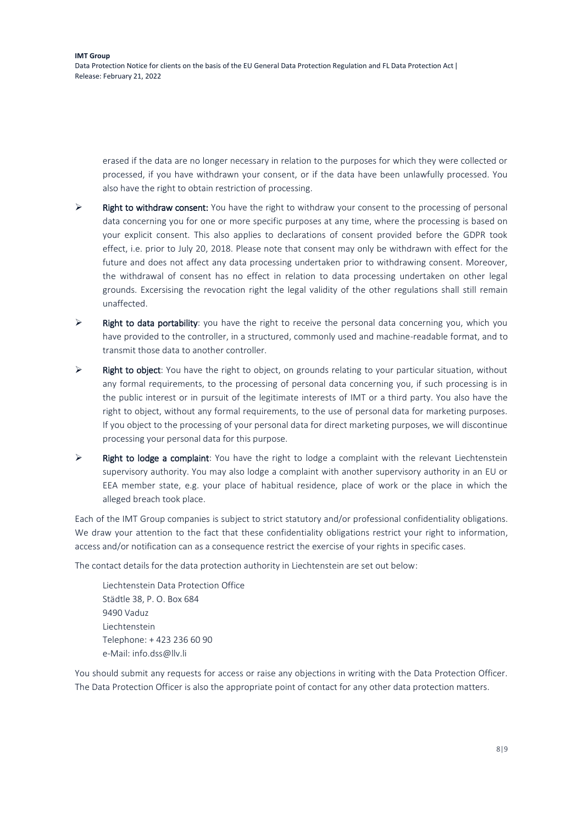erased if the data are no longer necessary in relation to the purposes for which they were collected or processed, if you have withdrawn your consent, or if the data have been unlawfully processed. You also have the right to obtain restriction of processing.

- $\triangleright$  Right to withdraw consent: You have the right to withdraw your consent to the processing of personal data concerning you for one or more specific purposes at any time, where the processing is based on your explicit consent. This also applies to declarations of consent provided before the GDPR took effect, i.e. prior to July 20, 2018. Please note that consent may only be withdrawn with effect for the future and does not affect any data processing undertaken prior to withdrawing consent. Moreover, the withdrawal of consent has no effect in relation to data processing undertaken on other legal grounds. Excersising the revocation right the legal validity of the other regulations shall still remain unaffected.
- $\triangleright$  Right to data portability: you have the right to receive the personal data concerning you, which you have provided to the controller, in a structured, commonly used and machine-readable format, and to transmit those data to another controller.
- ➢ Right to object: You have the right to object, on grounds relating to your particular situation, without any formal requirements, to the processing of personal data concerning you, if such processing is in the public interest or in pursuit of the legitimate interests of IMT or a third party. You also have the right to object, without any formal requirements, to the use of personal data for marketing purposes. If you object to the processing of your personal data for direct marketing purposes, we will discontinue processing your personal data for this purpose.
- $\triangleright$  Right to lodge a complaint: You have the right to lodge a complaint with the relevant Liechtenstein supervisory authority. You may also lodge a complaint with another supervisory authority in an EU or EEA member state, e.g. your place of habitual residence, place of work or the place in which the alleged breach took place.

Each of the IMT Group companies is subject to strict statutory and/or professional confidentiality obligations. We draw your attention to the fact that these confidentiality obligations restrict your right to information, access and/or notification can as a consequence restrict the exercise of your rights in specific cases.

The contact details for the data protection authority in Liechtenstein are set out below:

Liechtenstein Data Protection Office Städtle 38, P. O. Box 684 9490 Vaduz Liechtenstein Telephone: + 423 236 60 90 e-Mail: info.dss@llv.li

You should submit any requests for access or raise any objections in writing with the Data Protection Officer. The Data Protection Officer is also the appropriate point of contact for any other data protection matters.